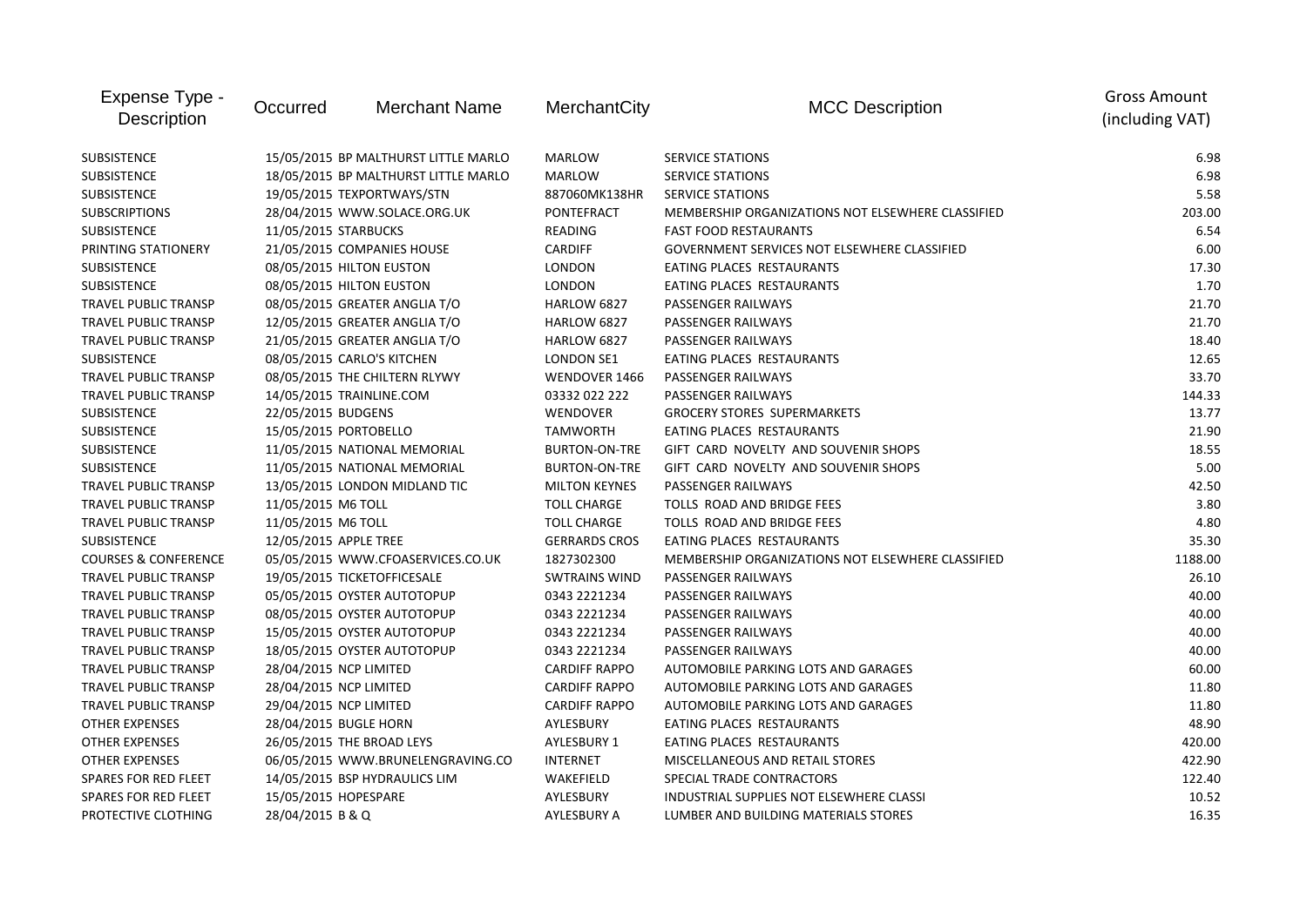| Expense Type -<br><b>Description</b> | Occurred               | <b>Merchant Name</b>                 | MerchantCity         | <b>MCC Description</b>                            | <b>Gross Amount</b><br>(including VAT) |
|--------------------------------------|------------------------|--------------------------------------|----------------------|---------------------------------------------------|----------------------------------------|
| <b>SUBSISTENCE</b>                   |                        | 15/05/2015 BP MALTHURST LITTLE MARLO | <b>MARLOW</b>        | <b>SERVICE STATIONS</b>                           | 6.98                                   |
| <b>SUBSISTENCE</b>                   |                        | 18/05/2015 BP MALTHURST LITTLE MARLO | <b>MARLOW</b>        | <b>SERVICE STATIONS</b>                           | 6.98                                   |
| SUBSISTENCE                          |                        | 19/05/2015 TEXPORTWAYS/STN           | 887060MK138HR        | <b>SERVICE STATIONS</b>                           | 5.58                                   |
| <b>SUBSCRIPTIONS</b>                 |                        | 28/04/2015 WWW.SOLACE.ORG.UK         | PONTEFRACT           | MEMBERSHIP ORGANIZATIONS NOT ELSEWHERE CLASSIFIED | 203.00                                 |
| <b>SUBSISTENCE</b>                   | 11/05/2015 STARBUCKS   |                                      | <b>READING</b>       | <b>FAST FOOD RESTAURANTS</b>                      | 6.54                                   |
| PRINTING STATIONERY                  |                        | 21/05/2015 COMPANIES HOUSE           | <b>CARDIFF</b>       | GOVERNMENT SERVICES NOT ELSEWHERE CLASSIFIED      | 6.00                                   |
| <b>SUBSISTENCE</b>                   |                        | 08/05/2015 HILTON EUSTON             | <b>LONDON</b>        | EATING PLACES RESTAURANTS                         | 17.30                                  |
| <b>SUBSISTENCE</b>                   |                        | 08/05/2015 HILTON EUSTON             | <b>LONDON</b>        | EATING PLACES RESTAURANTS                         | 1.70                                   |
| <b>TRAVEL PUBLIC TRANSP</b>          |                        | 08/05/2015 GREATER ANGLIA T/O        | HARLOW 6827          | PASSENGER RAILWAYS                                | 21.70                                  |
| <b>TRAVEL PUBLIC TRANSP</b>          |                        | 12/05/2015 GREATER ANGLIA T/O        | HARLOW 6827          | PASSENGER RAILWAYS                                | 21.70                                  |
| <b>TRAVEL PUBLIC TRANSP</b>          |                        | 21/05/2015 GREATER ANGLIA T/O        | HARLOW 6827          | PASSENGER RAILWAYS                                | 18.40                                  |
| <b>SUBSISTENCE</b>                   |                        | 08/05/2015 CARLO'S KITCHEN           | <b>LONDON SE1</b>    | EATING PLACES RESTAURANTS                         | 12.65                                  |
| <b>TRAVEL PUBLIC TRANSP</b>          |                        | 08/05/2015 THE CHILTERN RLYWY        | WENDOVER 1466        | PASSENGER RAILWAYS                                | 33.70                                  |
| <b>TRAVEL PUBLIC TRANSP</b>          |                        | 14/05/2015 TRAINLINE.COM             | 03332 022 222        | PASSENGER RAILWAYS                                | 144.33                                 |
| <b>SUBSISTENCE</b>                   | 22/05/2015 BUDGENS     |                                      | WENDOVER             | <b>GROCERY STORES SUPERMARKETS</b>                | 13.77                                  |
| <b>SUBSISTENCE</b>                   | 15/05/2015 PORTOBELLO  |                                      | TAMWORTH             | EATING PLACES RESTAURANTS                         | 21.90                                  |
| <b>SUBSISTENCE</b>                   |                        | 11/05/2015 NATIONAL MEMORIAL         | <b>BURTON-ON-TRE</b> | GIFT CARD NOVELTY AND SOUVENIR SHOPS              | 18.55                                  |
| <b>SUBSISTENCE</b>                   |                        | 11/05/2015 NATIONAL MEMORIAL         | <b>BURTON-ON-TRE</b> | GIFT CARD NOVELTY AND SOUVENIR SHOPS              | 5.00                                   |
| <b>TRAVEL PUBLIC TRANSP</b>          |                        | 13/05/2015 LONDON MIDLAND TIC        | <b>MILTON KEYNES</b> | PASSENGER RAILWAYS                                | 42.50                                  |
| TRAVEL PUBLIC TRANSP                 | 11/05/2015 M6 TOLL     |                                      | <b>TOLL CHARGE</b>   | TOLLS ROAD AND BRIDGE FEES                        | 3.80                                   |
| <b>TRAVEL PUBLIC TRANSP</b>          | 11/05/2015 M6 TOLL     |                                      | <b>TOLL CHARGE</b>   | TOLLS ROAD AND BRIDGE FEES                        | 4.80                                   |
| SUBSISTENCE                          | 12/05/2015 APPLE TREE  |                                      | <b>GERRARDS CROS</b> | EATING PLACES RESTAURANTS                         | 35.30                                  |
| <b>COURSES &amp; CONFERENCE</b>      |                        | 05/05/2015 WWW.CFOASERVICES.CO.UK    | 1827302300           | MEMBERSHIP ORGANIZATIONS NOT ELSEWHERE CLASSIFIED | 1188.00                                |
| <b>TRAVEL PUBLIC TRANSP</b>          |                        | 19/05/2015 TICKETOFFICESALE          | <b>SWTRAINS WIND</b> | PASSENGER RAILWAYS                                | 26.10                                  |
| <b>TRAVEL PUBLIC TRANSP</b>          |                        | 05/05/2015 OYSTER AUTOTOPUP          | 0343 2221234         | PASSENGER RAILWAYS                                | 40.00                                  |
| <b>TRAVEL PUBLIC TRANSP</b>          |                        | 08/05/2015 OYSTER AUTOTOPUP          | 0343 2221234         | PASSENGER RAILWAYS                                | 40.00                                  |
| <b>TRAVEL PUBLIC TRANSP</b>          |                        | 15/05/2015 OYSTER AUTOTOPUP          | 0343 2221234         | PASSENGER RAILWAYS                                | 40.00                                  |
| <b>TRAVEL PUBLIC TRANSP</b>          |                        | 18/05/2015 OYSTER AUTOTOPUP          | 0343 2221234         | PASSENGER RAILWAYS                                | 40.00                                  |
| TRAVEL PUBLIC TRANSP                 | 28/04/2015 NCP LIMITED |                                      | <b>CARDIFF RAPPO</b> | AUTOMOBILE PARKING LOTS AND GARAGES               | 60.00                                  |
| TRAVEL PUBLIC TRANSP                 | 28/04/2015 NCP LIMITED |                                      | <b>CARDIFF RAPPO</b> | AUTOMOBILE PARKING LOTS AND GARAGES               | 11.80                                  |
| <b>TRAVEL PUBLIC TRANSP</b>          | 29/04/2015 NCP LIMITED |                                      | <b>CARDIFF RAPPO</b> | <b>AUTOMOBILE PARKING LOTS AND GARAGES</b>        | 11.80                                  |
| <b>OTHER EXPENSES</b>                | 28/04/2015 BUGLE HORN  |                                      | AYLESBURY            | EATING PLACES RESTAURANTS                         | 48.90                                  |
| <b>OTHER EXPENSES</b>                |                        | 26/05/2015 THE BROAD LEYS            | <b>AYLESBURY 1</b>   | EATING PLACES RESTAURANTS                         | 420.00                                 |
| <b>OTHER EXPENSES</b>                |                        | 06/05/2015 WWW.BRUNELENGRAVING.CO    | <b>INTERNET</b>      | MISCELLANEOUS AND RETAIL STORES                   | 422.90                                 |
| SPARES FOR RED FLEET                 |                        | 14/05/2015 BSP HYDRAULICS LIM        | WAKEFIELD            | SPECIAL TRADE CONTRACTORS                         | 122.40                                 |
| <b>SPARES FOR RED FLEET</b>          | 15/05/2015 HOPESPARE   |                                      | AYLESBURY            | INDUSTRIAL SUPPLIES NOT ELSEWHERE CLASSI          | 10.52                                  |
| PROTECTIVE CLOTHING                  | 28/04/2015 B & Q       |                                      | <b>AYLESBURY A</b>   | LUMBER AND BUILDING MATERIALS STORES              | 16.35                                  |